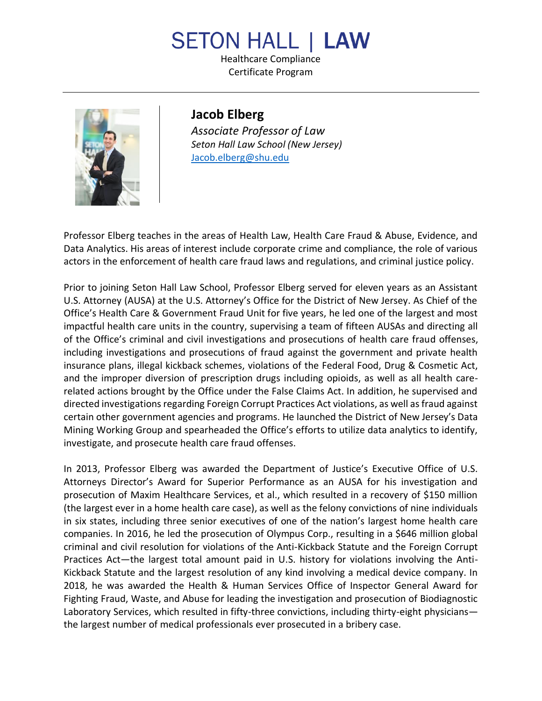## **SETON HALL | LAW**

Healthcare Compliance Certificate Program



**Jacob Elberg** *Associate Professor of Law Seton Hall Law School (New Jersey)* [Jacob.elberg@shu.edu](mailto:Jacob.elberg@shu.edu)

Professor Elberg teaches in the areas of Health Law, Health Care Fraud & Abuse, Evidence, and Data Analytics. His areas of interest include corporate crime and compliance, the role of various actors in the enforcement of health care fraud laws and regulations, and criminal justice policy.

Prior to joining Seton Hall Law School, Professor Elberg served for eleven years as an Assistant U.S. Attorney (AUSA) at the U.S. Attorney's Office for the District of New Jersey. As Chief of the Office's Health Care & Government Fraud Unit for five years, he led one of the largest and most impactful health care units in the country, supervising a team of fifteen AUSAs and directing all of the Office's criminal and civil investigations and prosecutions of health care fraud offenses, including investigations and prosecutions of fraud against the government and private health insurance plans, illegal kickback schemes, violations of the Federal Food, Drug & Cosmetic Act, and the improper diversion of prescription drugs including opioids, as well as all health carerelated actions brought by the Office under the False Claims Act. In addition, he supervised and directed investigations regarding Foreign Corrupt Practices Act violations, as well as fraud against certain other government agencies and programs. He launched the District of New Jersey's Data Mining Working Group and spearheaded the Office's efforts to utilize data analytics to identify, investigate, and prosecute health care fraud offenses.

In 2013, Professor Elberg was awarded the Department of Justice's Executive Office of U.S. Attorneys Director's Award for Superior Performance as an AUSA for his investigation and prosecution of Maxim Healthcare Services, et al., which resulted in a recovery of \$150 million (the largest ever in a home health care case), as well as the felony convictions of nine individuals in six states, including three senior executives of one of the nation's largest home health care companies. In 2016, he led the prosecution of Olympus Corp., resulting in a \$646 million global criminal and civil resolution for violations of the Anti-Kickback Statute and the Foreign Corrupt Practices Act—the largest total amount paid in U.S. history for violations involving the Anti-Kickback Statute and the largest resolution of any kind involving a medical device company. In 2018, he was awarded the Health & Human Services Office of Inspector General Award for Fighting Fraud, Waste, and Abuse for leading the investigation and prosecution of Biodiagnostic Laboratory Services, which resulted in fifty-three convictions, including thirty-eight physicians the largest number of medical professionals ever prosecuted in a bribery case.